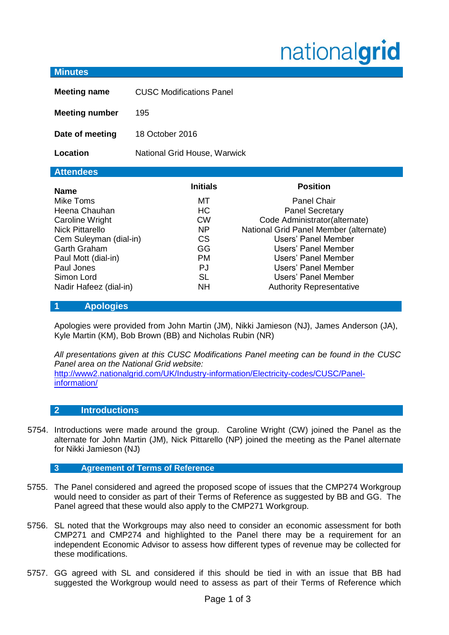# nationalgrid

| <b>Minutes</b>                                                                                                                                                                                                       |                                                                                                                 |                                                                                                                                                                                                                                                                                                  |
|----------------------------------------------------------------------------------------------------------------------------------------------------------------------------------------------------------------------|-----------------------------------------------------------------------------------------------------------------|--------------------------------------------------------------------------------------------------------------------------------------------------------------------------------------------------------------------------------------------------------------------------------------------------|
| <b>Meeting name</b>                                                                                                                                                                                                  | <b>CUSC Modifications Panel</b>                                                                                 |                                                                                                                                                                                                                                                                                                  |
| <b>Meeting number</b>                                                                                                                                                                                                | 195                                                                                                             |                                                                                                                                                                                                                                                                                                  |
| Date of meeting                                                                                                                                                                                                      | 18 October 2016                                                                                                 |                                                                                                                                                                                                                                                                                                  |
| Location                                                                                                                                                                                                             | National Grid House, Warwick                                                                                    |                                                                                                                                                                                                                                                                                                  |
| <b>Attendees</b>                                                                                                                                                                                                     |                                                                                                                 |                                                                                                                                                                                                                                                                                                  |
| <b>Name</b><br>Mike Toms<br>Heena Chauhan<br>Caroline Wright<br><b>Nick Pittarello</b><br>Cem Suleyman (dial-in)<br><b>Garth Graham</b><br>Paul Mott (dial-in)<br>Paul Jones<br>Simon Lord<br>Nadir Hafeez (dial-in) | <b>Initials</b><br>МT<br><b>HC</b><br><b>CW</b><br>NP<br><b>CS</b><br>GG<br>PM.<br>PJ<br><b>SL</b><br><b>NH</b> | <b>Position</b><br><b>Panel Chair</b><br><b>Panel Secretary</b><br>Code Administrator(alternate)<br>National Grid Panel Member (alternate)<br>Users' Panel Member<br>Users' Panel Member<br>Users' Panel Member<br>Users' Panel Member<br>Users' Panel Member<br><b>Authority Representative</b> |

## **1 Apologies**

Apologies were provided from John Martin (JM), Nikki Jamieson (NJ), James Anderson (JA), Kyle Martin (KM), Bob Brown (BB) and Nicholas Rubin (NR)

*All presentations given at this CUSC Modifications Panel meeting can be found in the CUSC Panel area on the National Grid website:*  [http://www2.nationalgrid.com/UK/Industry-information/Electricity-codes/CUSC/Panel](http://www2.nationalgrid.com/UK/Industry-information/Electricity-codes/CUSC/Panel-information/)[information/](http://www2.nationalgrid.com/UK/Industry-information/Electricity-codes/CUSC/Panel-information/)

## **2 Introductions**

5754. Introductions were made around the group. Caroline Wright (CW) joined the Panel as the alternate for John Martin (JM), Nick Pittarello (NP) joined the meeting as the Panel alternate for Nikki Jamieson (NJ)

## **3 Agreement of Terms of Reference**

- 5755. The Panel considered and agreed the proposed scope of issues that the CMP274 Workgroup would need to consider as part of their Terms of Reference as suggested by BB and GG. The Panel agreed that these would also apply to the CMP271 Workgroup.
- 5756. SL noted that the Workgroups may also need to consider an economic assessment for both CMP271 and CMP274 and highlighted to the Panel there may be a requirement for an independent Economic Advisor to assess how different types of revenue may be collected for these modifications.
- 5757. GG agreed with SL and considered if this should be tied in with an issue that BB had suggested the Workgroup would need to assess as part of their Terms of Reference which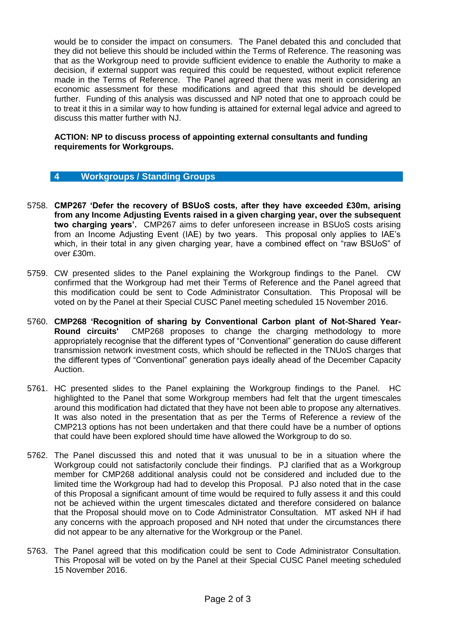would be to consider the impact on consumers. The Panel debated this and concluded that they did not believe this should be included within the Terms of Reference. The reasoning was that as the Workgroup need to provide sufficient evidence to enable the Authority to make a decision, if external support was required this could be requested, without explicit reference made in the Terms of Reference. The Panel agreed that there was merit in considering an economic assessment for these modifications and agreed that this should be developed further. Funding of this analysis was discussed and NP noted that one to approach could be to treat it this in a similar way to how funding is attained for external legal advice and agreed to discuss this matter further with NJ.

#### **ACTION: NP to discuss process of appointing external consultants and funding requirements for Workgroups.**

## **4 Workgroups / Standing Groups**

- 5758. **CMP267 'Defer the recovery of BSUoS costs, after they have exceeded £30m, arising from any Income Adjusting Events raised in a given charging year, over the subsequent two charging years'.** CMP267 aims to defer unforeseen increase in BSUoS costs arising from an Income Adjusting Event (IAE) by two years. This proposal only applies to IAE's which, in their total in any given charging year, have a combined effect on "raw BSUoS" of over £30m.
- 5759. CW presented slides to the Panel explaining the Workgroup findings to the Panel. CW confirmed that the Workgroup had met their Terms of Reference and the Panel agreed that this modification could be sent to Code Administrator Consultation. This Proposal will be voted on by the Panel at their Special CUSC Panel meeting scheduled 15 November 2016.
- 5760. **CMP268 'Recognition of sharing by Conventional Carbon plant of Not-Shared Year-**CMP268 proposes to change the charging methodology to more appropriately recognise that the different types of "Conventional" generation do cause different transmission network investment costs, which should be reflected in the TNUoS charges that the different types of "Conventional" generation pays ideally ahead of the December Capacity Auction.
- 5761. HC presented slides to the Panel explaining the Workgroup findings to the Panel. HC highlighted to the Panel that some Workgroup members had felt that the urgent timescales around this modification had dictated that they have not been able to propose any alternatives. It was also noted in the presentation that as per the Terms of Reference a review of the CMP213 options has not been undertaken and that there could have be a number of options that could have been explored should time have allowed the Workgroup to do so.
- 5762. The Panel discussed this and noted that it was unusual to be in a situation where the Workgroup could not satisfactorily conclude their findings. PJ clarified that as a Workgroup member for CMP268 additional analysis could not be considered and included due to the limited time the Workgroup had had to develop this Proposal. PJ also noted that in the case of this Proposal a significant amount of time would be required to fully assess it and this could not be achieved within the urgent timescales dictated and therefore considered on balance that the Proposal should move on to Code Administrator Consultation. MT asked NH if had any concerns with the approach proposed and NH noted that under the circumstances there did not appear to be any alternative for the Workgroup or the Panel.
- 5763. The Panel agreed that this modification could be sent to Code Administrator Consultation. This Proposal will be voted on by the Panel at their Special CUSC Panel meeting scheduled 15 November 2016.